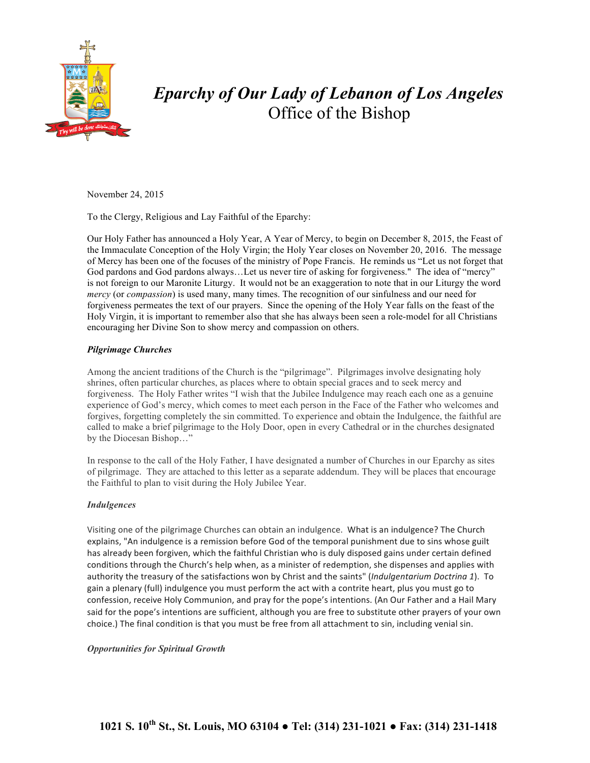

# *Eparchy of Our Lady of Lebanon of Los Angeles* Office of the Bishop

November 24, 2015

To the Clergy, Religious and Lay Faithful of the Eparchy:

Our Holy Father has announced a Holy Year, A Year of Mercy, to begin on December 8, 2015, the Feast of the Immaculate Conception of the Holy Virgin; the Holy Year closes on November 20, 2016. The message of Mercy has been one of the focuses of the ministry of Pope Francis. He reminds us "Let us not forget that God pardons and God pardons always…Let us never tire of asking for forgiveness." The idea of "mercy" is not foreign to our Maronite Liturgy. It would not be an exaggeration to note that in our Liturgy the word *mercy* (or *compassion*) is used many, many times. The recognition of our sinfulness and our need for forgiveness permeates the text of our prayers. Since the opening of the Holy Year falls on the feast of the Holy Virgin, it is important to remember also that she has always been seen a role-model for all Christians encouraging her Divine Son to show mercy and compassion on others.

## *Pilgrimage Churches*

Among the ancient traditions of the Church is the "pilgrimage". Pilgrimages involve designating holy shrines, often particular churches, as places where to obtain special graces and to seek mercy and forgiveness. The Holy Father writes "I wish that the Jubilee Indulgence may reach each one as a genuine experience of God's mercy, which comes to meet each person in the Face of the Father who welcomes and forgives, forgetting completely the sin committed. To experience and obtain the Indulgence, the faithful are called to make a brief pilgrimage to the Holy Door, open in every Cathedral or in the churches designated by the Diocesan Bishop…"

In response to the call of the Holy Father, I have designated a number of Churches in our Eparchy as sites of pilgrimage. They are attached to this letter as a separate addendum. They will be places that encourage the Faithful to plan to visit during the Holy Jubilee Year.

## *Indulgences*

Visiting one of the pilgrimage Churches can obtain an indulgence. What is an indulgence? The Church explains, "An indulgence is a remission before God of the temporal punishment due to sins whose guilt has already been forgiven, which the faithful Christian who is duly disposed gains under certain defined conditions through the Church's help when, as a minister of redemption, she dispenses and applies with authority the treasury of the satisfactions won by Christ and the saints" (Indulgentarium Doctrina 1). To gain a plenary (full) indulgence you must perform the act with a contrite heart, plus you must go to confession, receive Holy Communion, and pray for the pope's intentions. (An Our Father and a Hail Mary said for the pope's intentions are sufficient, although you are free to substitute other prayers of your own choice.) The final condition is that you must be free from all attachment to sin, including venial sin.

## *Opportunities for Spiritual Growth*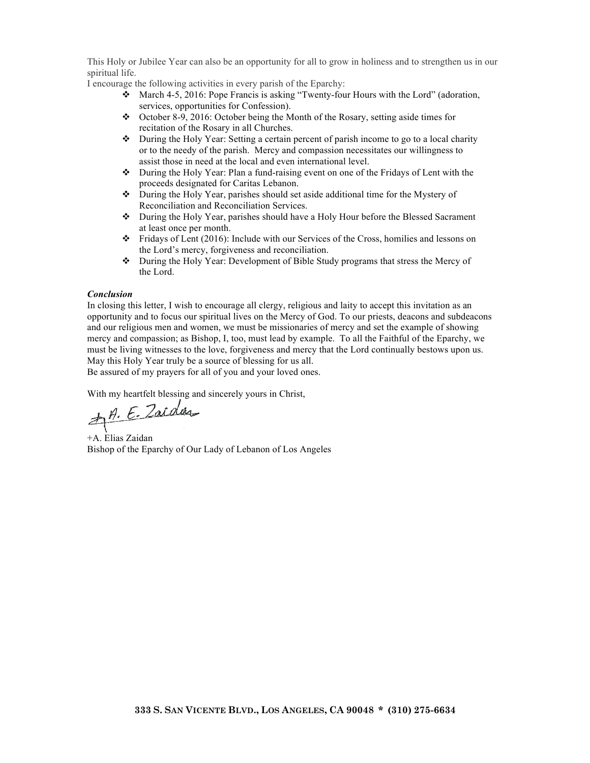This Holy or Jubilee Year can also be an opportunity for all to grow in holiness and to strengthen us in our spiritual life.

I encourage the following activities in every parish of the Eparchy:

- $\div$  March 4-5, 2016: Pope Francis is asking "Twenty-four Hours with the Lord" (adoration, services, opportunities for Confession).
- $\div$  October 8-9, 2016: October being the Month of the Rosary, setting aside times for recitation of the Rosary in all Churches.
- $\bullet$  During the Holy Year: Setting a certain percent of parish income to go to a local charity or to the needy of the parish. Mercy and compassion necessitates our willingness to assist those in need at the local and even international level.
- $\triangle$  During the Holy Year: Plan a fund-raising event on one of the Fridays of Lent with the proceeds designated for Caritas Lebanon.
- v During the Holy Year, parishes should set aside additional time for the Mystery of Reconciliation and Reconciliation Services.
- v During the Holy Year, parishes should have a Holy Hour before the Blessed Sacrament at least once per month.
- $\cdot \cdot$  Fridays of Lent (2016): Include with our Services of the Cross, homilies and lessons on the Lord's mercy, forgiveness and reconciliation.
- v During the Holy Year: Development of Bible Study programs that stress the Mercy of the Lord.

### *Conclusion*

In closing this letter, I wish to encourage all clergy, religious and laity to accept this invitation as an opportunity and to focus our spiritual lives on the Mercy of God. To our priests, deacons and subdeacons and our religious men and women, we must be missionaries of mercy and set the example of showing mercy and compassion; as Bishop, I, too, must lead by example. To all the Faithful of the Eparchy, we must be living witnesses to the love, forgiveness and mercy that the Lord continually bestows upon us. May this Holy Year truly be a source of blessing for us all.

Be assured of my prayers for all of you and your loved ones.

With my heartfelt blessing and sincerely yours in Christ,<br> $\overrightarrow{H}$ . E. Zaida

+A. Elias Zaidan Bishop of the Eparchy of Our Lady of Lebanon of Los Angeles